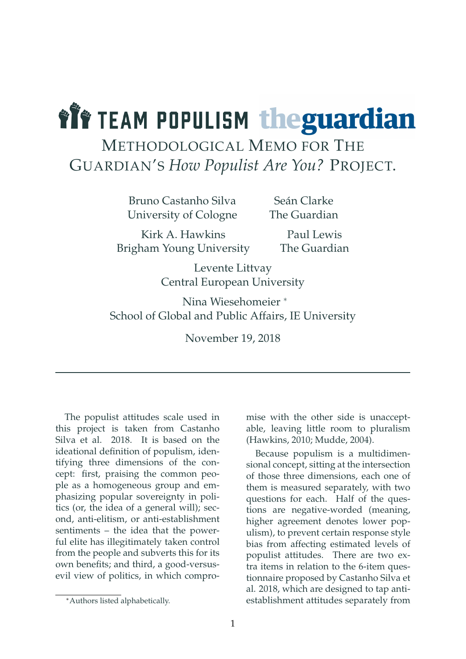# *Lit TEAM POPULISM theguardian*

### METHODOLOGICAL MEMO FOR THE GUARDIAN'S *How Populist Are You?* PROJECT.

Bruno Castanho Silva University of Cologne

Seán Clarke The Guardian

Kirk A. Hawkins Brigham Young University

Paul Lewis The Guardian

Levente Littvay Central European University

Nina Wiesehomeier <sup>∗</sup> School of Global and Public Affairs, IE University

November 19, 2018

The populist attitudes scale used in this project is taken from Castanho Silva et al. 2018. It is based on the ideational definition of populism, identifying three dimensions of the concept: first, praising the common people as a homogeneous group and emphasizing popular sovereignty in politics (or, the idea of a general will); second, anti-elitism, or anti-establishment sentiments – the idea that the powerful elite has illegitimately taken control from the people and subverts this for its own benefits; and third, a good-versusevil view of politics, in which compromise with the other side is unacceptable, leaving little room to pluralism (Hawkins, 2010; Mudde, 2004).

Because populism is a multidimensional concept, sitting at the intersection of those three dimensions, each one of them is measured separately, with two questions for each. Half of the questions are negative-worded (meaning, higher agreement denotes lower populism), to prevent certain response style bias from affecting estimated levels of populist attitudes. There are two extra items in relation to the 6-item questionnaire proposed by Castanho Silva et al. 2018, which are designed to tap antiestablishment attitudes separately from

<sup>∗</sup>Authors listed alphabetically.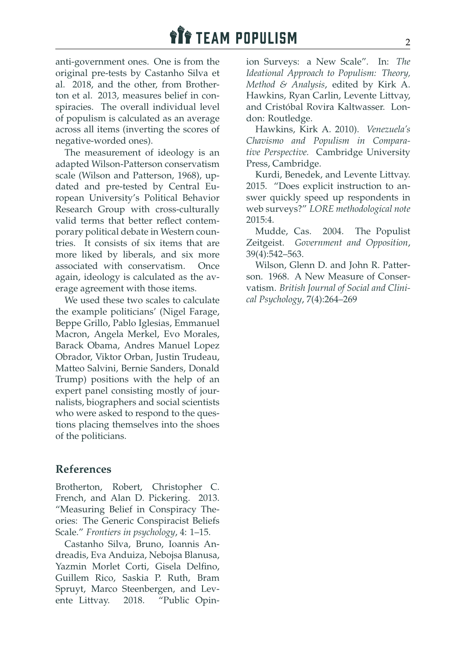## **THE TEAM POPULISM**

anti-government ones. One is from the original pre-tests by Castanho Silva et al. 2018, and the other, from Brotherton et al. 2013, measures belief in conspiracies. The overall individual level of populism is calculated as an average across all items (inverting the scores of negative-worded ones).

The measurement of ideology is an adapted Wilson-Patterson conservatism scale (Wilson and Patterson, 1968), updated and pre-tested by Central European University's Political Behavior Research Group with cross-culturally valid terms that better reflect contemporary political debate in Western countries. It consists of six items that are more liked by liberals, and six more associated with conservatism. Once again, ideology is calculated as the average agreement with those items.

We used these two scales to calculate the example politicians' (Nigel Farage, Beppe Grillo, Pablo Iglesias, Emmanuel Macron, Angela Merkel, Evo Morales, Barack Obama, Andres Manuel Lopez Obrador, Viktor Orban, Justin Trudeau, Matteo Salvini, Bernie Sanders, Donald Trump) positions with the help of an expert panel consisting mostly of journalists, biographers and social scientists who were asked to respond to the questions placing themselves into the shoes of the politicians.

#### **References**

Brotherton, Robert, Christopher C. French, and Alan D. Pickering. 2013. "Measuring Belief in Conspiracy Theories: The Generic Conspiracist Beliefs Scale." *Frontiers in psychology*, 4: 1–15.

Castanho Silva, Bruno, Ioannis Andreadis, Eva Anduiza, Nebojsa Blanusa, Yazmin Morlet Corti, Gisela Delfino, Guillem Rico, Saskia P. Ruth, Bram Spruyt, Marco Steenbergen, and Levente Littvay. 2018. "Public Opinion Surveys: a New Scale". In: *The Ideational Approach to Populism: Theory, Method & Analysis*, edited by Kirk A. Hawkins, Ryan Carlin, Levente Littvay, and Cristóbal Rovira Kaltwasser. London: Routledge.

Hawkins, Kirk A. 2010). *Venezuela's Chavismo and Populism in Comparative Perspective.* Cambridge University Press, Cambridge.

Kurdi, Benedek, and Levente Littvay. 2015. ["Does explicit instruction to an](https://lore.gu.se/digitalAssets/1531/1531719_lore_methodological_note_2015_4.pdf)[swer quickly speed up respondents in](https://lore.gu.se/digitalAssets/1531/1531719_lore_methodological_note_2015_4.pdf) web surveys?" *[LORE methodological note](https://lore.gu.se/digitalAssets/1531/1531719_lore_methodological_note_2015_4.pdf)* [2015:4.](https://lore.gu.se/digitalAssets/1531/1531719_lore_methodological_note_2015_4.pdf)

Mudde, Cas. 2004. The Populist Zeitgeist. *Government and Opposition*, 39(4):542–563.

Wilson, Glenn D. and John R. Patterson. 1968. A New Measure of Conservatism. *British Journal of Social and Clinical Psychology*, 7(4):264–269